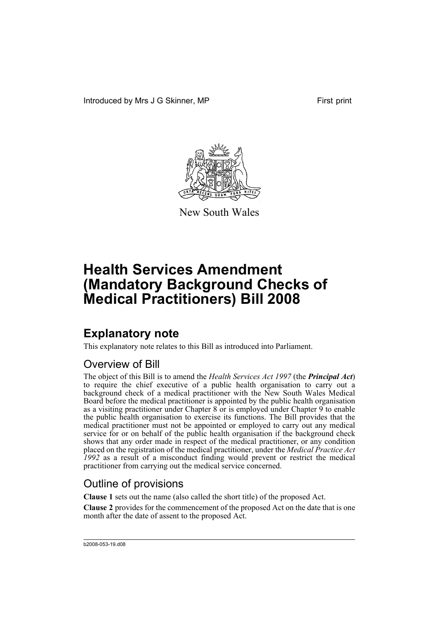Introduced by Mrs J G Skinner, MP First print



New South Wales

# **Health Services Amendment (Mandatory Background Checks of Medical Practitioners) Bill 2008**

## **Explanatory note**

This explanatory note relates to this Bill as introduced into Parliament.

## Overview of Bill

The object of this Bill is to amend the *Health Services Act 1997* (the *Principal Act*) to require the chief executive of a public health organisation to carry out a background check of a medical practitioner with the New South Wales Medical Board before the medical practitioner is appointed by the public health organisation as a visiting practitioner under Chapter 8 or is employed under Chapter 9 to enable the public health organisation to exercise its functions. The Bill provides that the medical practitioner must not be appointed or employed to carry out any medical service for or on behalf of the public health organisation if the background check shows that any order made in respect of the medical practitioner, or any condition placed on the registration of the medical practitioner, under the *Medical Practice Act 1992* as a result of a misconduct finding would prevent or restrict the medical practitioner from carrying out the medical service concerned.

## Outline of provisions

**Clause 1** sets out the name (also called the short title) of the proposed Act.

**Clause 2** provides for the commencement of the proposed Act on the date that is one month after the date of assent to the proposed Act.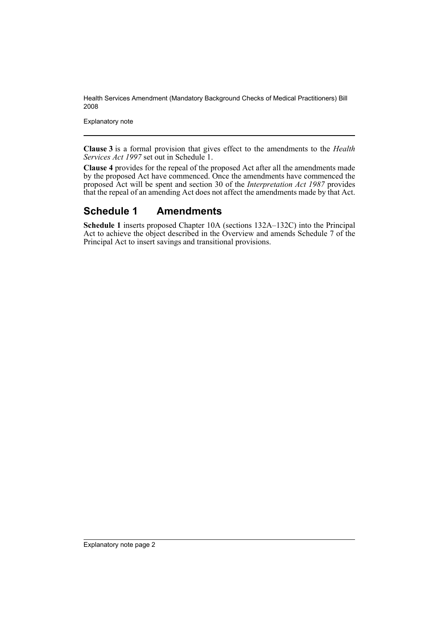Explanatory note

**Clause 3** is a formal provision that gives effect to the amendments to the *Health Services Act 1997* set out in Schedule 1.

**Clause 4** provides for the repeal of the proposed Act after all the amendments made by the proposed Act have commenced. Once the amendments have commenced the proposed Act will be spent and section 30 of the *Interpretation Act 1987* provides that the repeal of an amending Act does not affect the amendments made by that Act.

### **Schedule 1 Amendments**

**Schedule 1** inserts proposed Chapter 10A (sections 132A–132C) into the Principal Act to achieve the object described in the Overview and amends Schedule 7 of the Principal Act to insert savings and transitional provisions.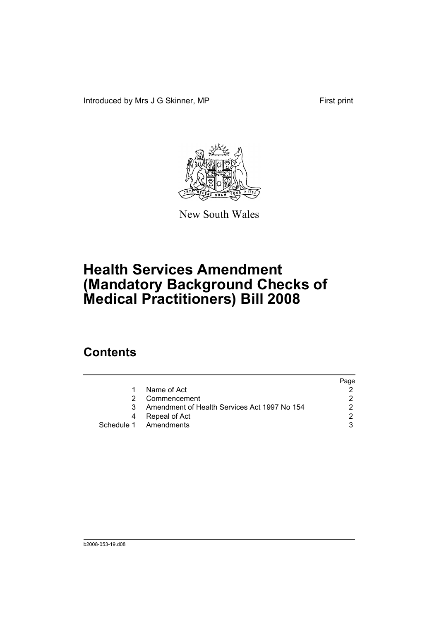Introduced by Mrs J G Skinner, MP First print



New South Wales

# **Health Services Amendment (Mandatory Background Checks of Medical Practitioners) Bill 2008**

## **Contents**

|   |                                              | Page |
|---|----------------------------------------------|------|
|   | Name of Act                                  |      |
|   | Commencement                                 |      |
|   | Amendment of Health Services Act 1997 No 154 |      |
| 4 | Repeal of Act                                | ◠    |
|   | Schedule 1 Amendments                        |      |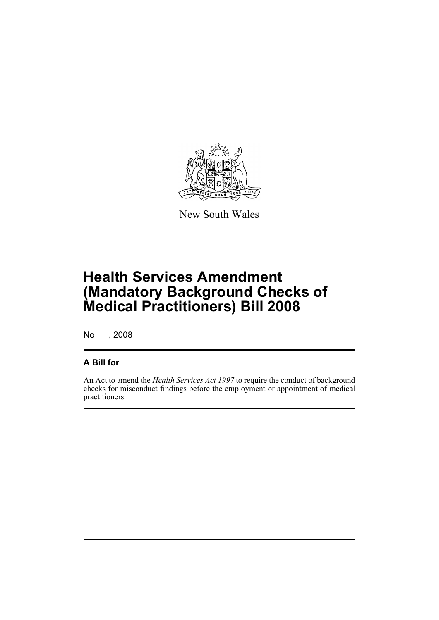

New South Wales

# **Health Services Amendment (Mandatory Background Checks of Medical Practitioners) Bill 2008**

No , 2008

### **A Bill for**

An Act to amend the *Health Services Act 1997* to require the conduct of background checks for misconduct findings before the employment or appointment of medical practitioners.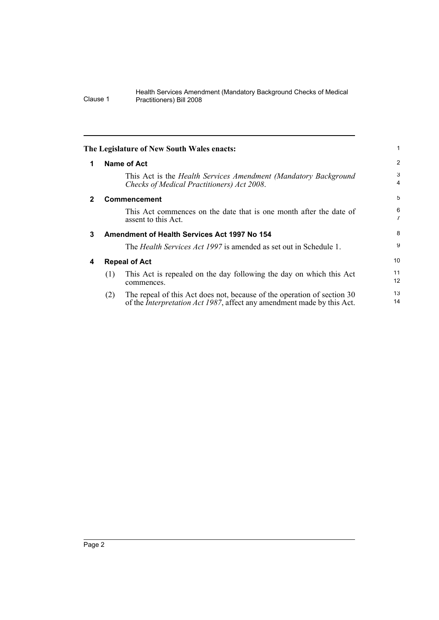<span id="page-5-3"></span><span id="page-5-2"></span><span id="page-5-1"></span><span id="page-5-0"></span>

|                                                   |                                                                                                                                                           | 1                                                                                |  |
|---------------------------------------------------|-----------------------------------------------------------------------------------------------------------------------------------------------------------|----------------------------------------------------------------------------------|--|
|                                                   |                                                                                                                                                           | 2                                                                                |  |
|                                                   | This Act is the Health Services Amendment (Mandatory Background<br>Checks of Medical Practitioners) Act 2008.                                             | 3<br>4                                                                           |  |
|                                                   |                                                                                                                                                           | 5                                                                                |  |
|                                                   | This Act commences on the date that is one month after the date of<br>assent to this Act.                                                                 | 6<br>$\overline{7}$                                                              |  |
| Amendment of Health Services Act 1997 No 154<br>3 |                                                                                                                                                           |                                                                                  |  |
|                                                   | The <i>Health Services Act 1997</i> is amended as set out in Schedule 1.                                                                                  | 9                                                                                |  |
| <b>Repeal of Act</b>                              |                                                                                                                                                           | 10 <sup>°</sup>                                                                  |  |
| (1)                                               | This Act is repealed on the day following the day on which this Act<br>commences.                                                                         | 11<br>12                                                                         |  |
| (2)                                               | The repeal of this Act does not, because of the operation of section 30<br>of the <i>Interpretation Act 1987</i> , affect any amendment made by this Act. | 13<br>14                                                                         |  |
|                                                   |                                                                                                                                                           | The Legislature of New South Wales enacts:<br>Name of Act<br><b>Commencement</b> |  |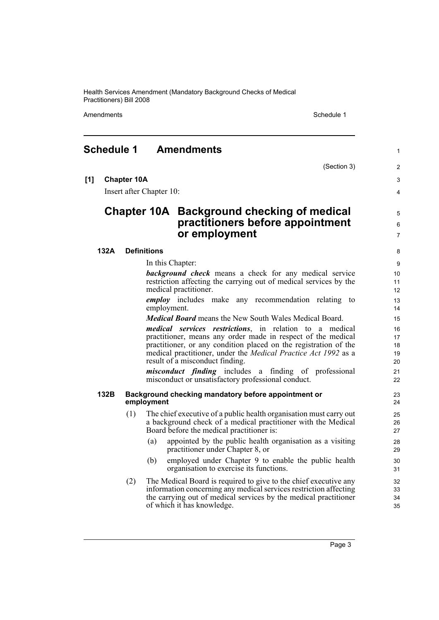Amendments **Schedule 1** Schedule 1

(Section 3)

1

 $\overline{2}$ 3 4

5 6 7

### <span id="page-6-0"></span>**Schedule 1 Amendments**

**[1] Chapter 10A**

Insert after Chapter 10:

### **Chapter 10A Background checking of medical practitioners before appointment or employment**

#### **132A Definitions**

In this Chapter:

*background check* means a check for any medical service restriction affecting the carrying out of medical services by the medical practitioner.

*employ* includes make any recommendation relating to employment.

*Medical Board* means the New South Wales Medical Board.

*medical services restrictions*, in relation to a medical practitioner, means any order made in respect of the medical practitioner, or any condition placed on the registration of the medical practitioner, under the *Medical Practice Act 1992* as a result of a misconduct finding.

*misconduct finding* includes a finding of professional misconduct or unsatisfactory professional conduct.

#### **132B Background checking mandatory before appointment or employment**

- (1) The chief executive of a public health organisation must carry out a background check of a medical practitioner with the Medical Board before the medical practitioner is:
	- (a) appointed by the public health organisation as a visiting practitioner under Chapter 8, or
	- (b) employed under Chapter 9 to enable the public health organisation to exercise its functions.
- (2) The Medical Board is required to give to the chief executive any information concerning any medical services restriction affecting the carrying out of medical services by the medical practitioner of which it has knowledge.

Page 3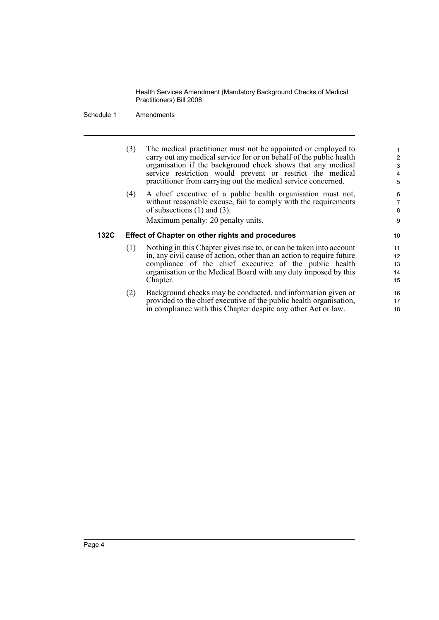Schedule 1 Amendments

(3) The medical practitioner must not be appointed or employed to carry out any medical service for or on behalf of the public health organisation if the background check shows that any medical service restriction would prevent or restrict the medical practitioner from carrying out the medical service concerned.

(4) A chief executive of a public health organisation must not, without reasonable excuse, fail to comply with the requirements of subsections (1) and (3).

Maximum penalty: 20 penalty units.

### **132C Effect of Chapter on other rights and procedures**

- (1) Nothing in this Chapter gives rise to, or can be taken into account in, any civil cause of action, other than an action to require future compliance of the chief executive of the public health organisation or the Medical Board with any duty imposed by this Chapter.
- (2) Background checks may be conducted, and information given or provided to the chief executive of the public health organisation, in compliance with this Chapter despite any other Act or law.